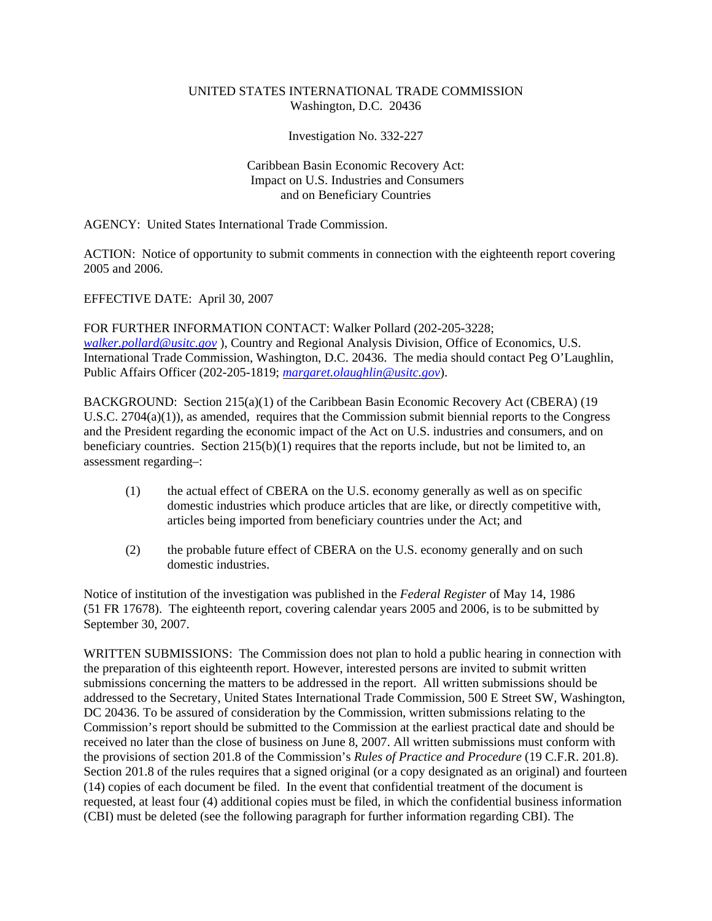## UNITED STATES INTERNATIONAL TRADE COMMISSION Washington, D.C. 20436

Investigation No. 332-227

## Caribbean Basin Economic Recovery Act: Impact on U.S. Industries and Consumers and on Beneficiary Countries

AGENCY: United States International Trade Commission.

ACTION: Notice of opportunity to submit comments in connection with the eighteenth report covering 2005 and 2006.

EFFECTIVE DATE: April 30, 2007

FOR FURTHER INFORMATION CONTACT: Walker Pollard (202-205-3228; *walker.pollard@usitc.gov* ), Country and Regional Analysis Division, Office of Economics, U.S. International Trade Commission, Washington, D.C. 20436. The media should contact Peg O'Laughlin, Public Affairs Officer (202-205-1819; *margaret.olaughlin@usitc.gov*).

BACKGROUND: Section 215(a)(1) of the Caribbean Basin Economic Recovery Act (CBERA) (19 U.S.C. 2704(a)(1)), as amended, requires that the Commission submit biennial reports to the Congress and the President regarding the economic impact of the Act on U.S. industries and consumers, and on beneficiary countries. Section 215(b)(1) requires that the reports include, but not be limited to, an assessment regarding–:

- (1) the actual effect of CBERA on the U.S. economy generally as well as on specific domestic industries which produce articles that are like, or directly competitive with, articles being imported from beneficiary countries under the Act; and
- (2) the probable future effect of CBERA on the U.S. economy generally and on such domestic industries.

Notice of institution of the investigation was published in the *Federal Register* of May 14, 1986 (51 FR 17678). The eighteenth report, covering calendar years 2005 and 2006, is to be submitted by September 30, 2007.

WRITTEN SUBMISSIONS: The Commission does not plan to hold a public hearing in connection with the preparation of this eighteenth report. However, interested persons are invited to submit written submissions concerning the matters to be addressed in the report. All written submissions should be addressed to the Secretary, United States International Trade Commission, 500 E Street SW, Washington, DC 20436. To be assured of consideration by the Commission, written submissions relating to the Commission's report should be submitted to the Commission at the earliest practical date and should be received no later than the close of business on June 8, 2007. All written submissions must conform with the provisions of section 201.8 of the Commission's *Rules of Practice and Procedure* (19 C.F.R. 201.8). Section 201.8 of the rules requires that a signed original (or a copy designated as an original) and fourteen (14) copies of each document be filed. In the event that confidential treatment of the document is requested, at least four (4) additional copies must be filed, in which the confidential business information (CBI) must be deleted (see the following paragraph for further information regarding CBI). The